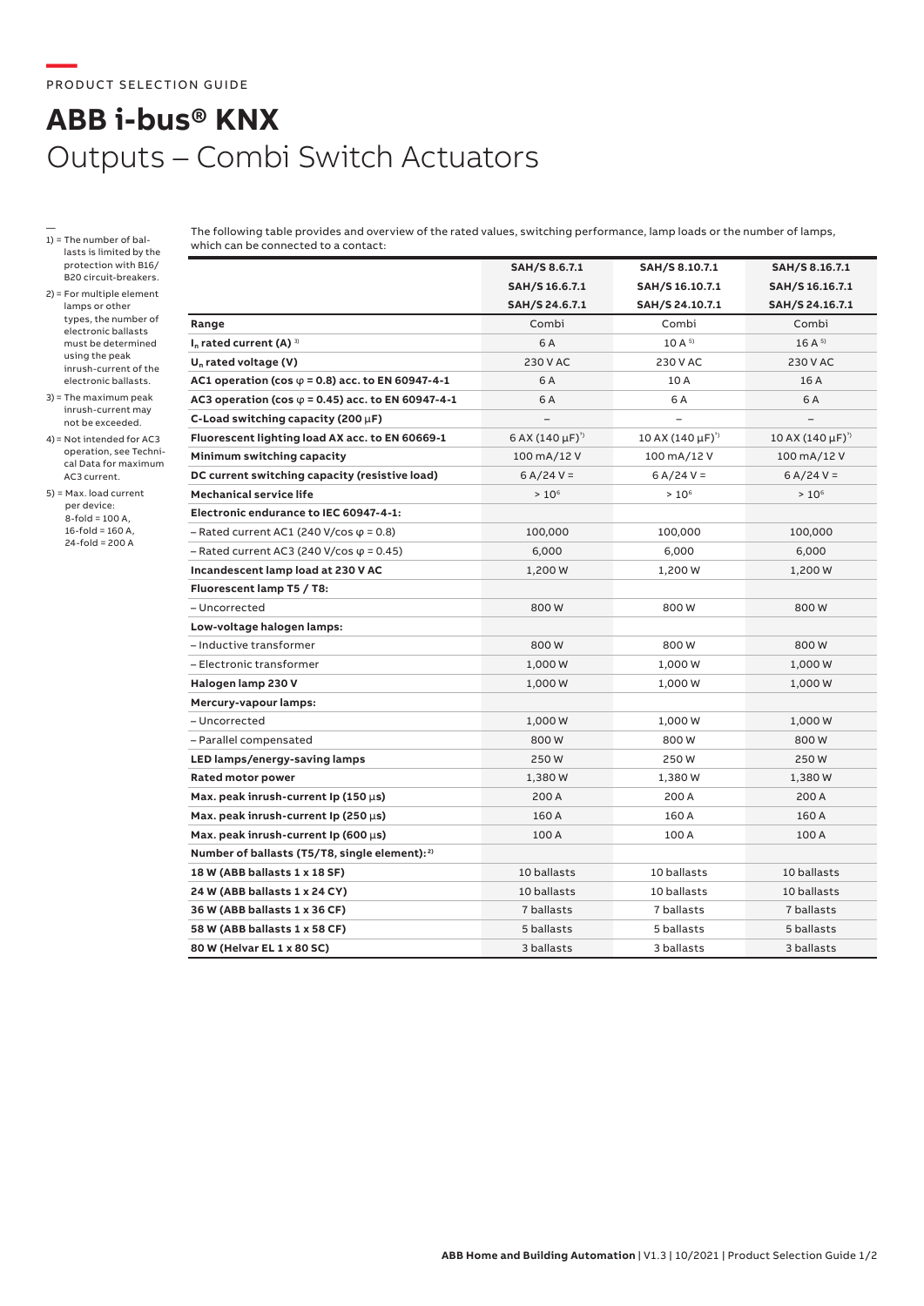## **ABB i-bus® KNX** Outputs – Combi Switch Actuators

- 1) = The number of ballasts is limited by the protection with B16/ B20 circuit-breakers.
- 2) = For multiple element lamps or other types, the number of electronic ballasts must be determined using the peak inrush-current of the electronic ballasts.
- 3) = The maximum peak inrush-current may not be exceeded.
- 4)= Not intended for AC3 operation, see Technical Data for maximum AC3 current.
- 5) = Max. load current per device: 8-fold = 100 A,  $16$ -fold = 160 A, 24-fold = 200 A

The following table provides and overview of the rated values, switching performance, lamp loads or the number of lamps, which can be connected to a contact:

|                                                           | SAH/S 8.6.7.1            | SAH/S 8.10.7.1            | SAH/S 8.16.7.1            |
|-----------------------------------------------------------|--------------------------|---------------------------|---------------------------|
|                                                           | SAH/S 16.6.7.1           | SAH/S 16.10.7.1           | SAH/S 16.16.7.1           |
|                                                           | SAH/S 24.6.7.1           | SAH/S 24.10.7.1           | SAH/S 24.16.7.1           |
| Range                                                     | Combi                    | Combi                     | Combi                     |
| $I_n$ rated current (A) $\frac{3}{2}$                     | 6 A                      | 10A <sup>5</sup>          | $16A^{5}$                 |
| $U_n$ rated voltage (V)                                   | 230 V AC                 | 230 V AC                  | 230 V AC                  |
| AC1 operation (cos $\varphi$ = 0.8) acc. to EN 60947-4-1  | 6 A                      | 10 A                      | 16 A                      |
| AC3 operation (cos $\varphi$ = 0.45) acc. to EN 60947-4-1 | 6 A                      | 6 A                       | 6 A                       |
| C-Load switching capacity (200 $\mu$ F)                   | $\equiv$                 |                           |                           |
| Fluorescent lighting load AX acc. to EN 60669-1           | 6 AX $(140 \,\mu F)^{3}$ | 10 AX $(140 \,\mu F)^{3}$ | 10 AX $(140 \,\mu F)^{3}$ |
| Minimum switching capacity                                | 100 mA/12 V              | 100 mA/12 V               | 100 mA/12 V               |
| DC current switching capacity (resistive load)            | $6 A/24 V =$             | $6 A/24 V =$              | $6 A/24 V =$              |
| <b>Mechanical service life</b>                            | $> 10^6$                 | $> 10^6$                  | $> 10^6$                  |
| Electronic endurance to IEC 60947-4-1:                    |                          |                           |                           |
| $-$ Rated current AC1 (240 V/cos $\varphi$ = 0.8)         | 100,000                  | 100,000                   | 100,000                   |
| $-$ Rated current AC3 (240 V/cos $\varphi$ = 0.45)        | 6,000                    | 6,000                     | 6,000                     |
| Incandescent lamp load at 230 V AC                        | 1,200 W                  | 1,200 W                   | 1,200 W                   |
| Fluorescent lamp T5 / T8:                                 |                          |                           |                           |
| - Uncorrected                                             | 800W                     | 800W                      | 800W                      |
| Low-voltage halogen lamps:                                |                          |                           |                           |
| - Inductive transformer                                   | 800W                     | 800W                      | 800W                      |
| - Electronic transformer                                  | 1,000 W                  | 1,000 W                   | 1,000 W                   |
| Halogen lamp 230 V                                        | 1,000 W                  | 1,000 W                   | 1,000 W                   |
| Mercury-vapour lamps:                                     |                          |                           |                           |
| - Uncorrected                                             | 1,000 W                  | 1,000 W                   | 1,000 W                   |
| - Parallel compensated                                    | 800W                     | 800W                      | 800W                      |
| LED lamps/energy-saving lamps                             | 250W                     | 250W                      | 250W                      |
| <b>Rated motor power</b>                                  | 1,380W                   | 1,380W                    | 1,380W                    |
| Max. peak inrush-current Ip (150 $\mu$ s)                 | 200 A                    | 200 A                     | 200 A                     |
| Max. peak inrush-current Ip (250 $\mu$ s)                 | 160 A                    | 160 A                     | 160 A                     |
| Max. peak inrush-current Ip (600 $\mu$ s)                 | 100 A                    | 100 A                     | 100 A                     |
| Number of ballasts (T5/T8, single element): <sup>2)</sup> |                          |                           |                           |
| 18 W (ABB ballasts 1 x 18 SF)                             | 10 ballasts              | 10 ballasts               | 10 ballasts               |
| 24 W (ABB ballasts 1 x 24 CY)                             | 10 ballasts              | 10 ballasts               | 10 ballasts               |
| 36 W (ABB ballasts 1 x 36 CF)                             | 7 ballasts               | 7 ballasts                | 7 ballasts                |
| 58 W (ABB ballasts 1 x 58 CF)                             | 5 ballasts               | 5 ballasts                | 5 ballasts                |
| 80 W (Helvar EL 1 x 80 SC)                                | 3 ballasts               | 3 ballasts                | 3 ballasts                |